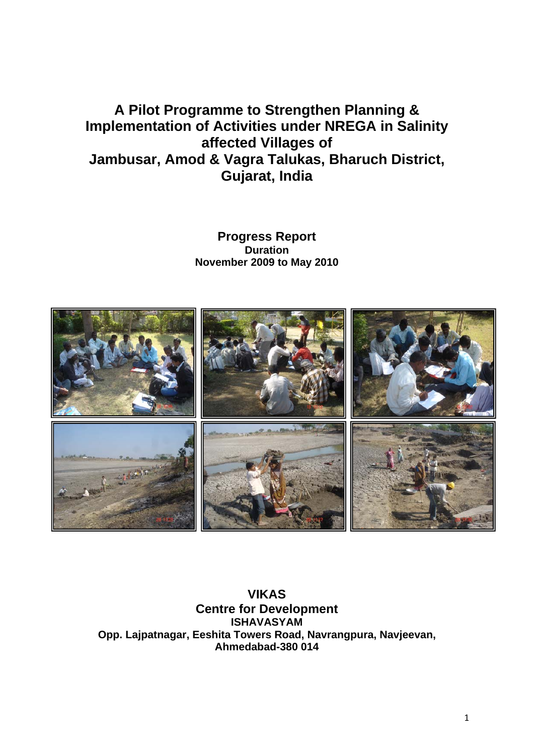# **A Pilot Programme to Strengthen Planning & Implementation of Activities under NREGA in Salinity affected Villages of Jambusar, Amod & Vagra Talukas, Bharuch District, Gujarat, India**

**Progress Report Duration November 2009 to May 2010** 



**VIKAS Centre for Development ISHAVASYAM Opp. Lajpatnagar, Eeshita Towers Road, Navrangpura, Navjeevan, Ahmedabad-380 014**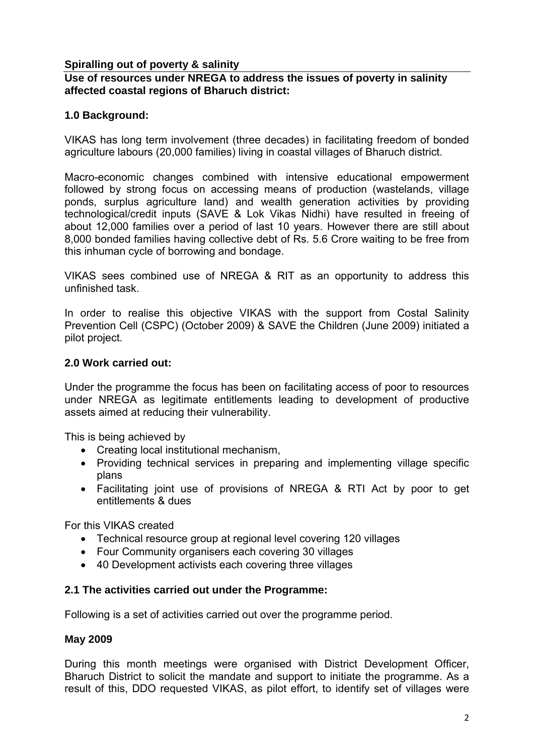## **Spiralling out of poverty & salinity**

## **Use of resources under NREGA to address the issues of poverty in salinity affected coastal regions of Bharuch district:**

## **1.0 Background:**

VIKAS has long term involvement (three decades) in facilitating freedom of bonded agriculture labours (20,000 families) living in coastal villages of Bharuch district.

Macro-economic changes combined with intensive educational empowerment followed by strong focus on accessing means of production (wastelands, village ponds, surplus agriculture land) and wealth generation activities by providing technological/credit inputs (SAVE & Lok Vikas Nidhi) have resulted in freeing of about 12,000 families over a period of last 10 years. However there are still about 8,000 bonded families having collective debt of Rs. 5.6 Crore waiting to be free from this inhuman cycle of borrowing and bondage.

VIKAS sees combined use of NREGA & RIT as an opportunity to address this unfinished task.

In order to realise this objective VIKAS with the support from Costal Salinity Prevention Cell (CSPC) (October 2009) & SAVE the Children (June 2009) initiated a pilot project.

## **2.0 Work carried out:**

Under the programme the focus has been on facilitating access of poor to resources under NREGA as legitimate entitlements leading to development of productive assets aimed at reducing their vulnerability.

This is being achieved by

- Creating local institutional mechanism,
- Providing technical services in preparing and implementing village specific plans
- Facilitating joint use of provisions of NREGA & RTI Act by poor to get entitlements & dues

For this VIKAS created

- Technical resource group at regional level covering 120 villages
- Four Community organisers each covering 30 villages
- 40 Development activists each covering three villages

## **2.1 The activities carried out under the Programme:**

Following is a set of activities carried out over the programme period.

## **May 2009**

During this month meetings were organised with District Development Officer, Bharuch District to solicit the mandate and support to initiate the programme. As a result of this, DDO requested VIKAS, as pilot effort, to identify set of villages were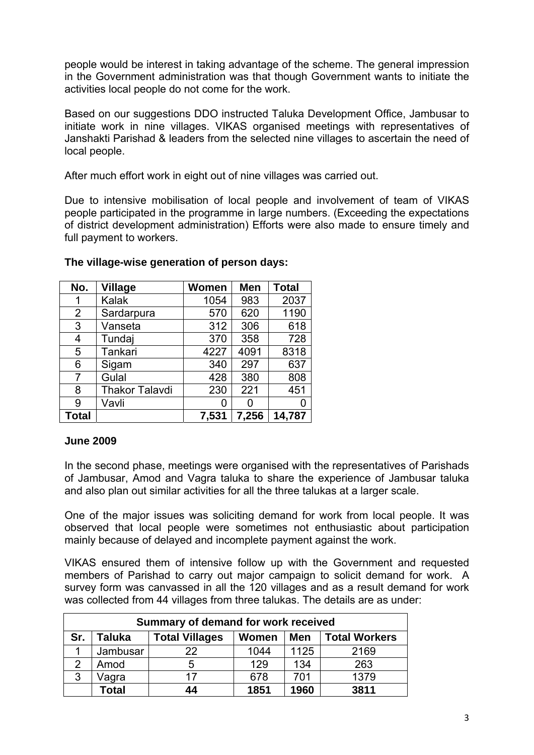people would be interest in taking advantage of the scheme. The general impression in the Government administration was that though Government wants to initiate the activities local people do not come for the work.

Based on our suggestions DDO instructed Taluka Development Office, Jambusar to initiate work in nine villages. VIKAS organised meetings with representatives of Janshakti Parishad & leaders from the selected nine villages to ascertain the need of local people.

After much effort work in eight out of nine villages was carried out.

Due to intensive mobilisation of local people and involvement of team of VIKAS people participated in the programme in large numbers. (Exceeding the expectations of district development administration) Efforts were also made to ensure timely and full payment to workers.

| No.            | <b>Village</b>        | Women | <b>Men</b> | <b>Total</b> |
|----------------|-----------------------|-------|------------|--------------|
|                | Kalak                 | 1054  | 983        | 2037         |
| $\overline{2}$ | Sardarpura            | 570   | 620        | 1190         |
| 3              | Vanseta               | 312   | 306        | 618          |
| 4              | Tundaj                | 370   | 358        | 728          |
| 5              | Tankari               | 4227  | 4091       | 8318         |
| 6              | Sigam                 | 340   | 297        | 637          |
| 7              | Gulal                 | 428   | 380        | 808          |
| 8              | <b>Thakor Talavdi</b> | 230   | 221        | 451          |
| 9              | Vavli                 | 0     | O          |              |
| <b>Total</b>   |                       | 7,531 | 7,256      | 14,787       |

#### **The village-wise generation of person days:**

## **June 2009**

In the second phase, meetings were organised with the representatives of Parishads of Jambusar, Amod and Vagra taluka to share the experience of Jambusar taluka and also plan out similar activities for all the three talukas at a larger scale.

One of the major issues was soliciting demand for work from local people. It was observed that local people were sometimes not enthusiastic about participation mainly because of delayed and incomplete payment against the work.

VIKAS ensured them of intensive follow up with the Government and requested members of Parishad to carry out major campaign to solicit demand for work. A survey form was canvassed in all the 120 villages and as a result demand for work was collected from 44 villages from three talukas. The details are as under:

| Summary of demand for work received |                                                                         |    |      |      |      |  |  |  |  |
|-------------------------------------|-------------------------------------------------------------------------|----|------|------|------|--|--|--|--|
| Sr.                                 | <b>Total Villages</b><br>Men<br><b>Total Workers</b><br>Taluka<br>Women |    |      |      |      |  |  |  |  |
|                                     | Jambusar                                                                | 22 | 1044 | 1125 | 2169 |  |  |  |  |
| 2                                   | Amod                                                                    | 5  | 129  | 134  | 263  |  |  |  |  |
| 3                                   | Vagra                                                                   | 17 | 678  | 701  | 1379 |  |  |  |  |
|                                     | Total                                                                   | 44 | 1851 | 1960 | 3811 |  |  |  |  |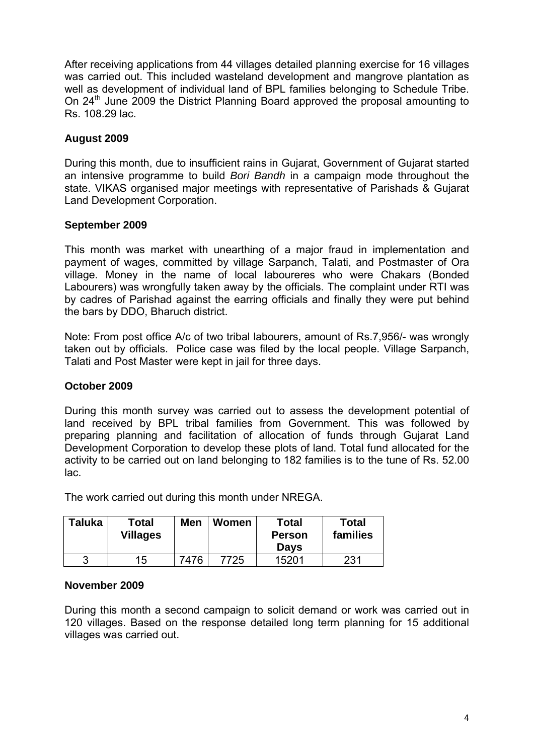After receiving applications from 44 villages detailed planning exercise for 16 villages was carried out. This included wasteland development and mangrove plantation as well as development of individual land of BPL families belonging to Schedule Tribe. On 24<sup>th</sup> June 2009 the District Planning Board approved the proposal amounting to Rs. 108.29 lac.

## **August 2009**

During this month, due to insufficient rains in Gujarat, Government of Gujarat started an intensive programme to build *Bori Bandh* in a campaign mode throughout the state. VIKAS organised major meetings with representative of Parishads & Gujarat Land Development Corporation.

## **September 2009**

This month was market with unearthing of a major fraud in implementation and payment of wages, committed by village Sarpanch, Talati, and Postmaster of Ora village. Money in the name of local laboureres who were Chakars (Bonded Labourers) was wrongfully taken away by the officials. The complaint under RTI was by cadres of Parishad against the earring officials and finally they were put behind the bars by DDO, Bharuch district.

Note: From post office A/c of two tribal labourers, amount of Rs.7,956/- was wrongly taken out by officials. Police case was filed by the local people. Village Sarpanch, Talati and Post Master were kept in jail for three days.

## **October 2009**

During this month survey was carried out to assess the development potential of land received by BPL tribal families from Government. This was followed by preparing planning and facilitation of allocation of funds through Gujarat Land Development Corporation to develop these plots of land. Total fund allocated for the activity to be carried out on land belonging to 182 families is to the tune of Rs. 52.00 lac.

The work carried out during this month under NREGA.

| Taluka | Total<br><b>Villages</b> | <b>Men</b> | <b>Women</b> | Total<br><b>Person</b><br><b>Days</b> | <b>Total</b><br>families |
|--------|--------------------------|------------|--------------|---------------------------------------|--------------------------|
|        | 15                       | 7476       | 7725         | 15201                                 | 231                      |

## **November 2009**

During this month a second campaign to solicit demand or work was carried out in 120 villages. Based on the response detailed long term planning for 15 additional villages was carried out.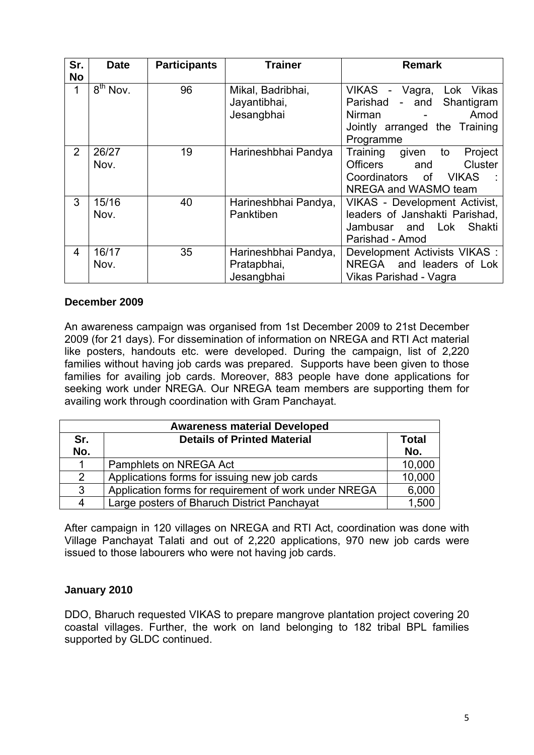| Sr.            | <b>Date</b>                     | <b>Participants</b> | <b>Trainer</b>                                    | <b>Remark</b>                                                                                                                     |
|----------------|---------------------------------|---------------------|---------------------------------------------------|-----------------------------------------------------------------------------------------------------------------------------------|
| <b>No</b><br>1 | $\overline{8}^{\text{th}}$ Nov. | 96                  | Mikal, Badribhai,<br>Jayantibhai,<br>Jesangbhai   | VIKAS -<br>Lok Vikas<br>Vagra,<br>Parishad<br>Shantigram<br>- and<br>Amod<br>Nirman<br>Jointly arranged the Training<br>Programme |
| $\overline{2}$ | 26/27<br>Nov.                   | 19                  | Harineshbhai Pandya                               | Project<br>Training<br>to<br>given<br><b>Officers</b><br>Cluster<br>and<br>Coordinators of VIKAS<br>NREGA and WASMO team          |
| 3              | 15/16<br>Nov.                   | 40                  | Harineshbhai Pandya,<br>Panktiben                 | <b>VIKAS - Development Activist,</b><br>leaders of Janshakti Parishad,<br>Jambusar and Lok<br>Shakti<br>Parishad - Amod           |
| $\overline{4}$ | 16/17<br>Nov.                   | 35                  | Harineshbhai Pandya,<br>Pratapbhai,<br>Jesangbhai | Development Activists VIKAS :<br>NREGA and leaders of Lok<br>Vikas Parishad - Vagra                                               |

## **December 2009**

An awareness campaign was organised from 1st December 2009 to 21st December 2009 (for 21 days). For dissemination of information on NREGA and RTI Act material like posters, handouts etc. were developed. During the campaign, list of 2,220 families without having job cards was prepared. Supports have been given to those families for availing job cards. Moreover, 883 people have done applications for seeking work under NREGA. Our NREGA team members are supporting them for availing work through coordination with Gram Panchayat.

| <b>Awareness material Developed</b> |                                                       |                     |  |  |  |  |
|-------------------------------------|-------------------------------------------------------|---------------------|--|--|--|--|
| Sr.<br>No.                          | <b>Details of Printed Material</b>                    | <b>Total</b><br>No. |  |  |  |  |
|                                     | Pamphlets on NREGA Act                                | 10,000              |  |  |  |  |
| $\overline{2}$                      | Applications forms for issuing new job cards          | 10,000              |  |  |  |  |
| 3                                   | Application forms for requirement of work under NREGA | 6,000               |  |  |  |  |
| 4                                   | Large posters of Bharuch District Panchayat           | 1,500               |  |  |  |  |

After campaign in 120 villages on NREGA and RTI Act, coordination was done with Village Panchayat Talati and out of 2,220 applications, 970 new job cards were issued to those labourers who were not having job cards.

## **January 2010**

DDO, Bharuch requested VIKAS to prepare mangrove plantation project covering 20 coastal villages. Further, the work on land belonging to 182 tribal BPL families supported by GLDC continued.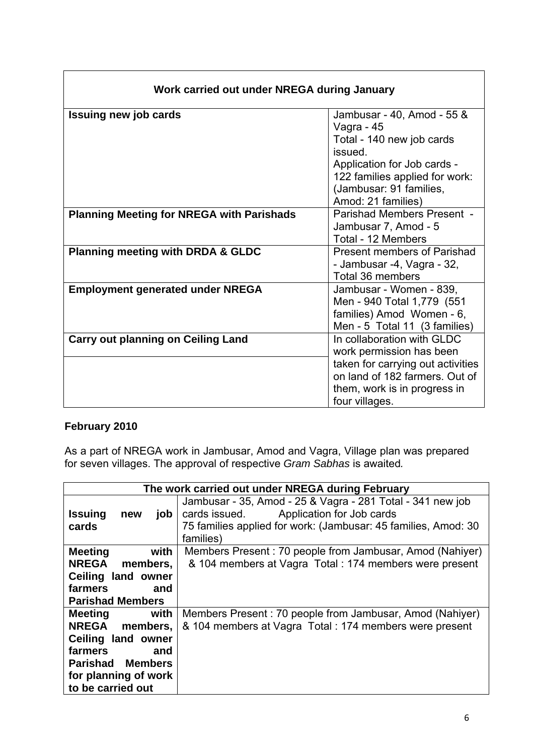| Work carried out under NREGA during January      |                                                                                                                                                                                                    |  |  |  |  |
|--------------------------------------------------|----------------------------------------------------------------------------------------------------------------------------------------------------------------------------------------------------|--|--|--|--|
| <b>Issuing new job cards</b>                     | Jambusar - 40, Amod - 55 &<br>Vagra - 45<br>Total - 140 new job cards<br>issued.<br>Application for Job cards -<br>122 families applied for work:<br>(Jambusar: 91 families,<br>Amod: 21 families) |  |  |  |  |
| <b>Planning Meeting for NREGA with Parishads</b> | Parishad Members Present -<br>Jambusar 7, Amod - 5<br>Total - 12 Members                                                                                                                           |  |  |  |  |
| <b>Planning meeting with DRDA &amp; GLDC</b>     | <b>Present members of Parishad</b><br>- Jambusar -4, Vagra - 32,<br>Total 36 members                                                                                                               |  |  |  |  |
| <b>Employment generated under NREGA</b>          | Jambusar - Women - 839,<br>Men - 940 Total 1,779 (551<br>families) Amod Women - 6,<br>Men - 5 Total 11 (3 families)                                                                                |  |  |  |  |
| <b>Carry out planning on Ceiling Land</b>        | In collaboration with GLDC<br>work permission has been<br>taken for carrying out activities<br>on land of 182 farmers. Out of<br>them, work is in progress in                                      |  |  |  |  |
|                                                  | four villages.                                                                                                                                                                                     |  |  |  |  |

## **February 2010**

 $\overline{\Gamma}$ 

As a part of NREGA work in Jambusar, Amod and Vagra, Village plan was prepared for seven villages. The approval of respective *Gram Sabhas* is awaited*.*

|                              | The work carried out under NREGA during February               |  |  |  |  |  |  |
|------------------------------|----------------------------------------------------------------|--|--|--|--|--|--|
|                              | Jambusar - 35, Amod - 25 & Vagra - 281 Total - 341 new job     |  |  |  |  |  |  |
| <b>Issuing</b><br>job<br>new | cards issued. Application for Job cards                        |  |  |  |  |  |  |
| cards                        | 75 families applied for work: (Jambusar: 45 families, Amod: 30 |  |  |  |  |  |  |
|                              | families)                                                      |  |  |  |  |  |  |
| <b>Meeting</b><br>with       | Members Present: 70 people from Jambusar, Amod (Nahiyer)       |  |  |  |  |  |  |
| <b>NREGA</b><br>members,     | & 104 members at Vagra Total : 174 members were present        |  |  |  |  |  |  |
| Ceiling land owner           |                                                                |  |  |  |  |  |  |
| farmers<br>and               |                                                                |  |  |  |  |  |  |
| <b>Parishad Members</b>      |                                                                |  |  |  |  |  |  |
| with<br>Meeting              | Members Present: 70 people from Jambusar, Amod (Nahiyer)       |  |  |  |  |  |  |
| NREGA members,               | & 104 members at Vagra Total : 174 members were present        |  |  |  |  |  |  |
| Ceiling land owner           |                                                                |  |  |  |  |  |  |
| farmers<br>and               |                                                                |  |  |  |  |  |  |
| <b>Parishad Members</b>      |                                                                |  |  |  |  |  |  |
| for planning of work         |                                                                |  |  |  |  |  |  |
| to be carried out            |                                                                |  |  |  |  |  |  |

٦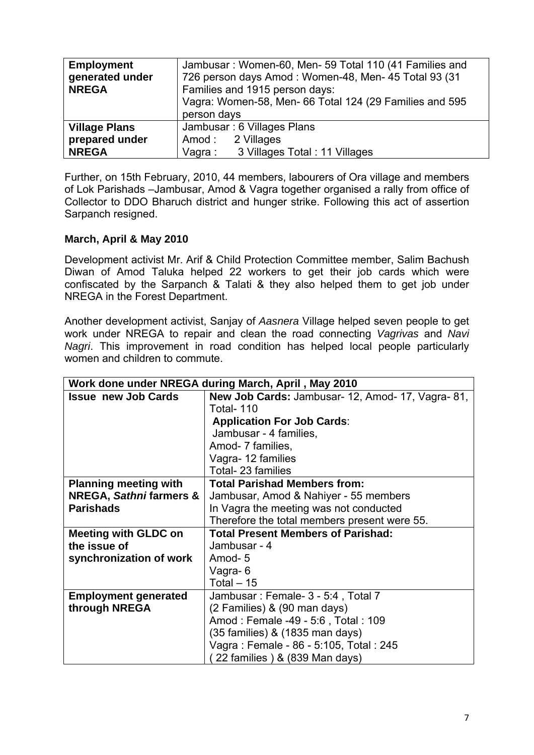| <b>Employment</b>    | Jambusar: Women-60, Men-59 Total 110 (41 Families and   |  |  |  |  |  |  |
|----------------------|---------------------------------------------------------|--|--|--|--|--|--|
| generated under      | 726 person days Amod: Women-48, Men- 45 Total 93 (31    |  |  |  |  |  |  |
| <b>NREGA</b>         | Families and 1915 person days:                          |  |  |  |  |  |  |
|                      | Vagra: Women-58, Men- 66 Total 124 (29 Families and 595 |  |  |  |  |  |  |
|                      | person days                                             |  |  |  |  |  |  |
| <b>Village Plans</b> | Jambusar: 6 Villages Plans                              |  |  |  |  |  |  |
| prepared under       | Amod: 2 Villages                                        |  |  |  |  |  |  |
| <b>NREGA</b>         | 3 Villages Total: 11 Villages<br>Vagra :                |  |  |  |  |  |  |

Further, on 15th February, 2010, 44 members, labourers of Ora village and members of Lok Parishads –Jambusar, Amod & Vagra together organised a rally from office of Collector to DDO Bharuch district and hunger strike. Following this act of assertion Sarpanch resigned.

## **March, April & May 2010**

Development activist Mr. Arif & Child Protection Committee member, Salim Bachush Diwan of Amod Taluka helped 22 workers to get their job cards which were confiscated by the Sarpanch & Talati & they also helped them to get job under NREGA in the Forest Department.

Another development activist, Sanjay of *Aasnera* Village helped seven people to get work under NREGA to repair and clean the road connecting *Vagrivas* and *Navi Nagri*. This improvement in road condition has helped local people particularly women and children to commute.

| Work done under NREGA during March, April, May 2010 |                                                          |  |  |  |  |  |
|-----------------------------------------------------|----------------------------------------------------------|--|--|--|--|--|
| <b>Issue new Job Cards</b>                          | <b>New Job Cards:</b> Jambusar- 12, Amod- 17, Vagra- 81, |  |  |  |  |  |
|                                                     | <b>Total-110</b>                                         |  |  |  |  |  |
|                                                     | <b>Application For Job Cards:</b>                        |  |  |  |  |  |
|                                                     | Jambusar - 4 families,                                   |  |  |  |  |  |
|                                                     | Amod- 7 families,                                        |  |  |  |  |  |
|                                                     | Vagra-12 families                                        |  |  |  |  |  |
|                                                     | Total- 23 families                                       |  |  |  |  |  |
| <b>Planning meeting with</b>                        | <b>Total Parishad Members from:</b>                      |  |  |  |  |  |
| <b>NREGA, Sathni farmers &amp;</b>                  | Jambusar, Amod & Nahiyer - 55 members                    |  |  |  |  |  |
| <b>Parishads</b>                                    | In Vagra the meeting was not conducted                   |  |  |  |  |  |
|                                                     | Therefore the total members present were 55.             |  |  |  |  |  |
| <b>Meeting with GLDC on</b>                         | <b>Total Present Members of Parishad:</b>                |  |  |  |  |  |
| the issue of                                        | Jambusar - 4                                             |  |  |  |  |  |
| synchronization of work                             | Amod-5                                                   |  |  |  |  |  |
|                                                     | Vagra-6                                                  |  |  |  |  |  |
|                                                     | Total $-15$                                              |  |  |  |  |  |
| <b>Employment generated</b>                         | Jambusar: Female- 3 - 5:4, Total 7                       |  |  |  |  |  |
| through NREGA                                       | (2 Families) & (90 man days)                             |  |  |  |  |  |
|                                                     | Amod: Female -49 - 5:6, Total: 109                       |  |  |  |  |  |
|                                                     | (35 families) & (1835 man days)                          |  |  |  |  |  |
|                                                     | Vagra: Female - 86 - 5:105, Total: 245                   |  |  |  |  |  |
|                                                     | 22 families ) & (839 Man days)                           |  |  |  |  |  |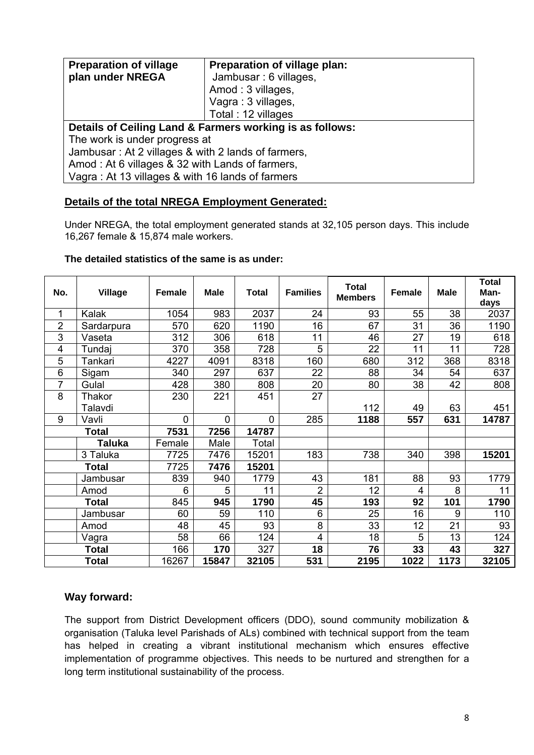| <b>Preparation of village</b>                            | Preparation of village plan: |  |  |  |
|----------------------------------------------------------|------------------------------|--|--|--|
| plan under NREGA                                         | Jambusar: 6 villages,        |  |  |  |
|                                                          | Amod: 3 villages,            |  |  |  |
|                                                          | Vagra: 3 villages,           |  |  |  |
|                                                          | Total: 12 villages           |  |  |  |
| Details of Ceiling Land & Farmers working is as follows: |                              |  |  |  |
| The work is under progress at                            |                              |  |  |  |
| Jambusar: At 2 villages & with 2 lands of farmers,       |                              |  |  |  |
| Amod: At 6 villages & 32 with Lands of farmers,          |                              |  |  |  |
| Vagra: At 13 villages & with 16 lands of farmers         |                              |  |  |  |

## **Details of the total NREGA Employment Generated:**

Under NREGA, the total employment generated stands at 32,105 person days. This include 16,267 female & 15,874 male workers.

| No.            | <b>Village</b>    | <b>Female</b> | <b>Male</b> | <b>Total</b> | <b>Families</b> | <b>Total</b><br><b>Members</b> | <b>Female</b> | <b>Male</b> | <b>Total</b><br>Man-<br>days |
|----------------|-------------------|---------------|-------------|--------------|-----------------|--------------------------------|---------------|-------------|------------------------------|
| 1              | Kalak             | 1054          | 983         | 2037         | 24              | 93                             | 55            | 38          | 2037                         |
| $\overline{2}$ | Sardarpura        | 570           | 620         | 1190         | 16              | 67                             | 31            | 36          | 1190                         |
| 3              | Vaseta            | 312           | 306         | 618          | 11              | 46                             | 27            | 19          | 618                          |
| 4              | Tundaj            | 370           | 358         | 728          | 5               | 22                             | 11            | 11          | 728                          |
| 5              | Tankari           | 4227          | 4091        | 8318         | 160             | 680                            | 312           | 368         | 8318                         |
| 6              | Sigam             | 340           | 297         | 637          | 22              | 88                             | 34            | 54          | 637                          |
| $\overline{7}$ | Gulal             | 428           | 380         | 808          | 20              | 80                             | 38            | 42          | 808                          |
| 8              | Thakor<br>Talavdi | 230           | 221         | 451          | 27              | 112                            | 49            | 63          | 451                          |
| 9              | Vavli             | $\mathbf 0$   | 0           | $\mathbf 0$  | 285             | 1188                           | 557           | 631         | 14787                        |
|                | <b>Total</b>      | 7531          | 7256        | 14787        |                 |                                |               |             |                              |
|                | Taluka            | Female        | Male        | Total        |                 |                                |               |             |                              |
|                | 3 Taluka          | 7725          | 7476        | 15201        | 183             | 738                            | 340           | 398         | 15201                        |
|                | <b>Total</b>      | 7725          | 7476        | 15201        |                 |                                |               |             |                              |
|                | Jambusar          | 839           | 940         | 1779         | 43              | 181                            | 88            | 93          | 1779                         |
|                | Amod              | 6             | 5           | 11           | $\overline{2}$  | 12                             | 4             | 8           | 11                           |
|                | <b>Total</b>      | 845           | 945         | 1790         | 45              | 193                            | 92            | 101         | 1790                         |
|                | Jambusar          | 60            | 59          | 110          | 6               | 25                             | 16            | 9           | 110                          |
|                | Amod              | 48            | 45          | 93           | 8               | 33                             | 12            | 21          | 93                           |
|                | Vagra             | 58            | 66          | 124          | $\overline{4}$  | 18                             | 5             | 13          | 124                          |
|                | <b>Total</b>      | 166           | 170         | 327          | 18              | 76                             | 33            | 43          | 327                          |
|                | <b>Total</b>      | 16267         | 15847       | 32105        | 531             | 2195                           | 1022          | 1173        | 32105                        |

#### **The detailed statistics of the same is as under:**

## **Way forward:**

The support from District Development officers (DDO), sound community mobilization & organisation (Taluka level Parishads of ALs) combined with technical support from the team has helped in creating a vibrant institutional mechanism which ensures effective implementation of programme objectives. This needs to be nurtured and strengthen for a long term institutional sustainability of the process.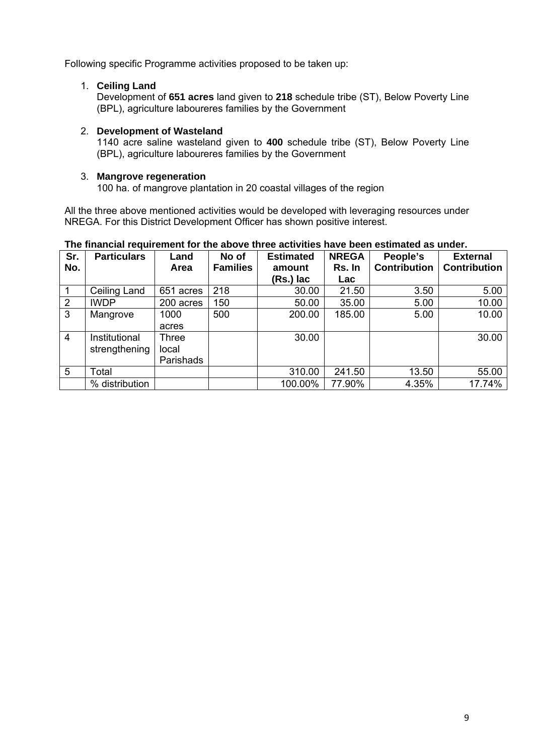Following specific Programme activities proposed to be taken up:

## 1. **Ceiling Land**

Development of **651 acres** land given to **218** schedule tribe (ST), Below Poverty Line (BPL), agriculture laboureres families by the Government

#### 2. **Development of Wasteland**

1140 acre saline wasteland given to **400** schedule tribe (ST), Below Poverty Line (BPL), agriculture laboureres families by the Government

#### 3. **Mangrove regeneration**

100 ha. of mangrove plantation in 20 coastal villages of the region

All the three above mentioned activities would be developed with leveraging resources under NREGA. For this District Development Officer has shown positive interest.

| Sr.            | <b>Particulars</b> | Land         | No of           | <b>Estimated</b> | <b>NREGA</b> | People's            | <b>External</b>     |
|----------------|--------------------|--------------|-----------------|------------------|--------------|---------------------|---------------------|
| No.            |                    | Area         | <b>Families</b> | amount           | Rs. In       | <b>Contribution</b> | <b>Contribution</b> |
|                |                    |              |                 | (Rs.) lac        | Lac          |                     |                     |
|                | Ceiling Land       | 651 acres    | 218             | 30.00            | 21.50        | 3.50                | 5.00                |
| $\overline{2}$ | <b>IWDP</b>        | 200 acres    | 150             | 50.00            | 35.00        | 5.00                | 10.00               |
| 3              | Mangrove           | 1000         | 500             | 200.00           | 185.00       | 5.00                | 10.00               |
|                |                    | acres        |                 |                  |              |                     |                     |
| $\overline{4}$ | Institutional      | <b>Three</b> |                 | 30.00            |              |                     | 30.00               |
|                | strengthening      | local        |                 |                  |              |                     |                     |
|                |                    | Parishads    |                 |                  |              |                     |                     |
| 5              | Total              |              |                 | 310.00           | 241.50       | 13.50               | 55.00               |
|                | % distribution     |              |                 | 100.00%          | 77.90%       | 4.35%               | 17.74%              |

#### **The financial requirement for the above three activities have been estimated as under.**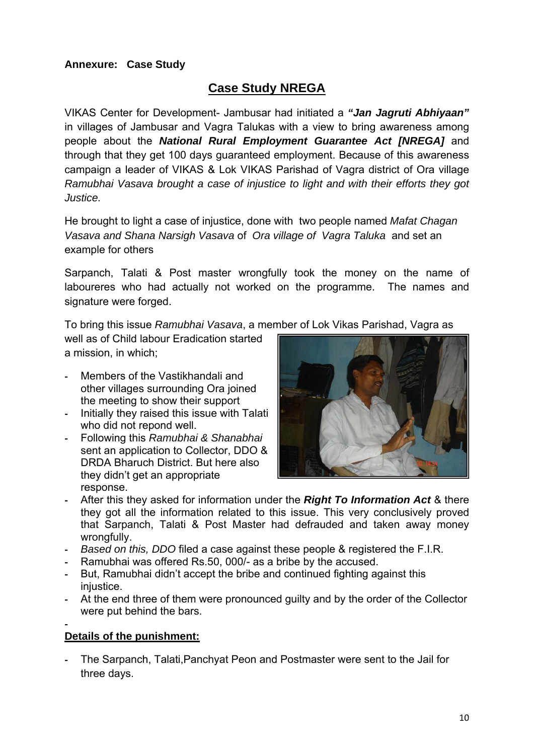## **Annexure: Case Study**

## **Case Study NREGA**

VIKAS Center for Development- Jambusar had initiated a *"Jan Jagruti Abhiyaan"* in villages of Jambusar and Vagra Talukas with a view to bring awareness among people about the *National Rural Employment Guarantee Act [NREGA]* and through that they get 100 days guaranteed employment. Because of this awareness campaign a leader of VIKAS & Lok VIKAS Parishad of Vagra district of Ora village *Ramubhai Vasava brought a case of injustice to light and with their efforts they got Justice.* 

He brought to light a case of injustice, done with two people named *Mafat Chagan Vasava and Shana Narsigh Vasava* of *Ora village of Vagra Taluka* and set an example for others

Sarpanch, Talati & Post master wrongfully took the money on the name of laboureres who had actually not worked on the programme. The names and signature were forged.

To bring this issue *Ramubhai Vasava*, a member of Lok Vikas Parishad, Vagra as

well as of Child labour Eradication started a mission, in which;

- Members of the Vastikhandali and other villages surrounding Ora joined the meeting to show their support
- Initially they raised this issue with Talati who did not repond well.
- Following this *Ramubhai & Shanabhai* sent an application to Collector, DDO & DRDA Bharuch District. But here also they didn't get an appropriate response.



- After this they asked for information under the *Right To Information Act* & there they got all the information related to this issue. This very conclusively proved that Sarpanch, Talati & Post Master had defrauded and taken away money wrongfully.
- *Based on this, DDO* filed a case against these people & registered the F.I.R.
- Ramubhai was offered Rs.50, 000/- as a bribe by the accused.
- But, Ramubhai didn't accept the bribe and continued fighting against this iniustice.
- At the end three of them were pronounced guilty and by the order of the Collector were put behind the bars.

#### - **Details of the punishment:**

- The Sarpanch, Talati,Panchyat Peon and Postmaster were sent to the Jail for three days.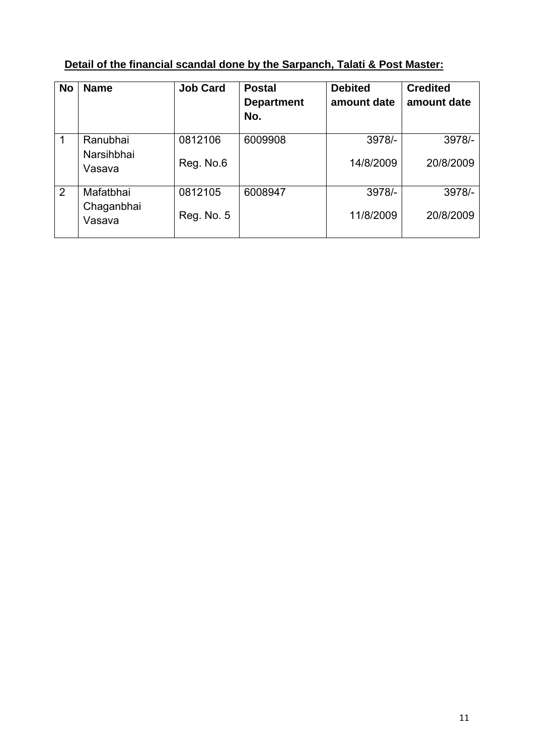|  | Detail of the financial scandal done by the Sarpanch, Talati & Post Master: |
|--|-----------------------------------------------------------------------------|
|  |                                                                             |

| <b>No</b>      | <b>Name</b>                       | <b>Job Card</b>       | <b>Postal</b><br><b>Department</b><br>No. | <b>Debited</b><br>amount date | <b>Credited</b><br>amount date |
|----------------|-----------------------------------|-----------------------|-------------------------------------------|-------------------------------|--------------------------------|
| 1              | Ranubhai<br>Narsihbhai<br>Vasava  | 0812106<br>Reg. No.6  | 6009908                                   | 3978/-<br>14/8/2009           | 3978/-<br>20/8/2009            |
| $\overline{2}$ | Mafatbhai<br>Chaganbhai<br>Vasava | 0812105<br>Reg. No. 5 | 6008947                                   | 3978/-<br>11/8/2009           | 3978/-<br>20/8/2009            |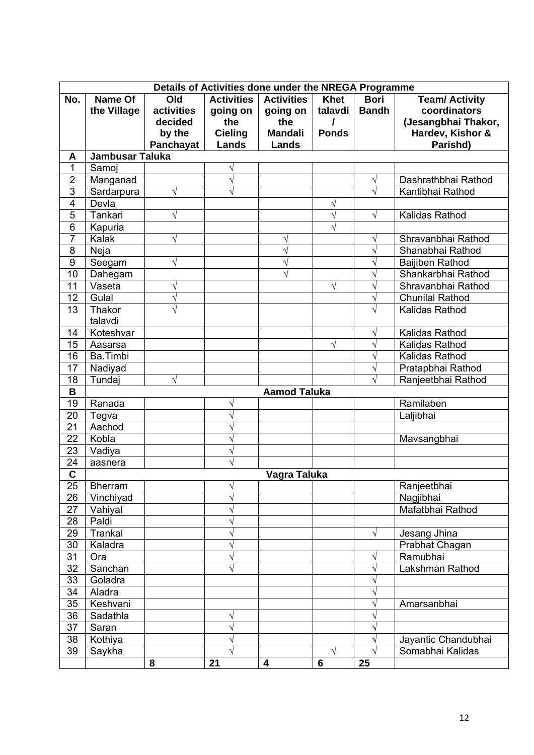|                         | Details of Activities done under the NREGA Programme |            |                   |                     |              |              |                        |
|-------------------------|------------------------------------------------------|------------|-------------------|---------------------|--------------|--------------|------------------------|
| No.                     | <b>Name Of</b>                                       | Old        | <b>Activities</b> | <b>Activities</b>   | <b>Khet</b>  | <b>Bori</b>  | <b>Team/ Activity</b>  |
|                         | the Village                                          | activities | going on          | going on            | talavdi      | <b>Bandh</b> | coordinators           |
|                         |                                                      | decided    | the               | the                 | I            |              | (Jesangbhai Thakor,    |
|                         |                                                      | by the     | <b>Cieling</b>    | <b>Mandali</b>      | <b>Ponds</b> |              | Hardev, Kishor &       |
|                         |                                                      | Panchayat  | Lands             | Lands               |              |              | Parishd)               |
| A                       | <b>Jambusar Taluka</b>                               |            |                   |                     |              |              |                        |
| 1                       | Samoj                                                |            | V                 |                     |              |              |                        |
| $\overline{2}$          | Manganad                                             |            | $\sqrt{}$         |                     |              | $\sqrt{}$    | Dashrathbhai Rathod    |
| $\overline{3}$          | Sardarpura                                           | $\sqrt{}$  | $\sqrt{}$         |                     |              | $\sqrt{}$    | Kantibhai Rathod       |
| $\overline{4}$          | Devla                                                |            |                   |                     | V            |              |                        |
| $\overline{5}$          | Tankari                                              | V          |                   |                     | V            | $\sqrt{}$    | Kalidas Rathod         |
| $\overline{6}$          | Kapuria                                              |            |                   |                     | N            |              |                        |
| $\overline{7}$          | Kalak                                                | V          |                   |                     |              | V            | Shravanbhai Rathod     |
| 8                       | Neja                                                 |            |                   | V                   |              | $\sqrt{}$    | Shanabhai Rathod       |
| $\boldsymbol{9}$        | Seegam                                               | V          |                   | V                   |              | $\sqrt{}$    | Baijiben Rathod        |
| 10                      | Dahegam                                              |            |                   | V                   |              | $\sqrt{}$    | Shankarbhai Rathod     |
| 11                      | Vaseta                                               | V          |                   |                     | √            | $\sqrt{}$    | Shravanbhai Rathod     |
| 12                      | Gulal                                                | V          |                   |                     |              | $\sqrt{}$    | <b>Chunilal Rathod</b> |
| 13                      | Thakor                                               | $\sqrt{}$  |                   |                     |              | $\sqrt{}$    | Kalidas Rathod         |
|                         | talavdi                                              |            |                   |                     |              |              |                        |
| 14                      | Koteshvar                                            |            |                   |                     |              | $\sqrt{}$    | Kalidas Rathod         |
| 15                      | Aasarsa                                              |            |                   |                     | V            | $\sqrt{}$    | Kalidas Rathod         |
| 16                      | Ba.Timbi                                             |            |                   |                     |              | V            | Kalidas Rathod         |
| 17                      | Nadiyad                                              |            |                   |                     |              | $\sqrt{}$    | Pratapbhai Rathod      |
| 18                      | Tundaj                                               | √          |                   |                     |              | $\sqrt{}$    | Ranjeetbhai Rathod     |
| B                       |                                                      |            |                   | <b>Aamod Taluka</b> |              |              |                        |
| 19                      | Ranada                                               |            | V                 |                     |              |              | Ramilaben              |
| 20                      | Tegva                                                |            | V                 |                     |              |              | Laljibhai              |
| 21                      | Aachod                                               |            | Ń                 |                     |              |              |                        |
| 22                      | Kobla                                                |            | V                 |                     |              |              | Mavsangbhai            |
| 23                      | Vadiya                                               |            | V                 |                     |              |              |                        |
| 24                      | aasnera                                              |            |                   |                     |              |              |                        |
| $\overline{\mathsf{c}}$ |                                                      |            |                   | Vagra Taluka        |              |              |                        |
| 25                      | <b>Bherram</b>                                       |            | V                 |                     |              |              | Ranjeetbhai            |
| 26                      | Vinchiyad                                            |            | $\sqrt{}$         |                     |              |              | Nagjibhai              |
| 27                      | Vahiyal                                              |            | V                 |                     |              |              | Mafatbhai Rathod       |
| 28                      | Paldi                                                |            | $\sqrt{}$         |                     |              |              |                        |
| 29                      | Trankal                                              |            | V                 |                     |              | $\sqrt{}$    | Jesang Jhina           |
| 30                      | Kaladra                                              |            | V                 |                     |              |              | Prabhat Chagan         |
| 31                      | Ora                                                  |            | V                 |                     |              | V            | Ramubhai               |
| 32                      | Sanchan                                              |            | $\sqrt{}$         |                     |              | $\sqrt{}$    | Lakshman Rathod        |
| 33                      | Goladra                                              |            |                   |                     |              | $\sqrt{}$    |                        |
| 34                      | Aladra                                               |            |                   |                     |              | $\sqrt{}$    |                        |
| 35                      | Keshvani                                             |            |                   |                     |              | $\sqrt{}$    | Amarsanbhai            |
| 36                      | Sadathla                                             |            | V                 |                     |              | $\sqrt{}$    |                        |
| 37                      | Saran                                                |            | $\sqrt{}$         |                     |              | $\sqrt{}$    |                        |
| 38                      | Kothiya                                              |            | V                 |                     |              | $\sqrt{}$    | Jayantic Chandubhai    |
| 39                      | Saykha                                               |            | V                 |                     | $\sqrt{ }$   | $\sqrt{}$    | Somabhai Kalidas       |
|                         |                                                      | 8          | 21                | 4                   | 6            | 25           |                        |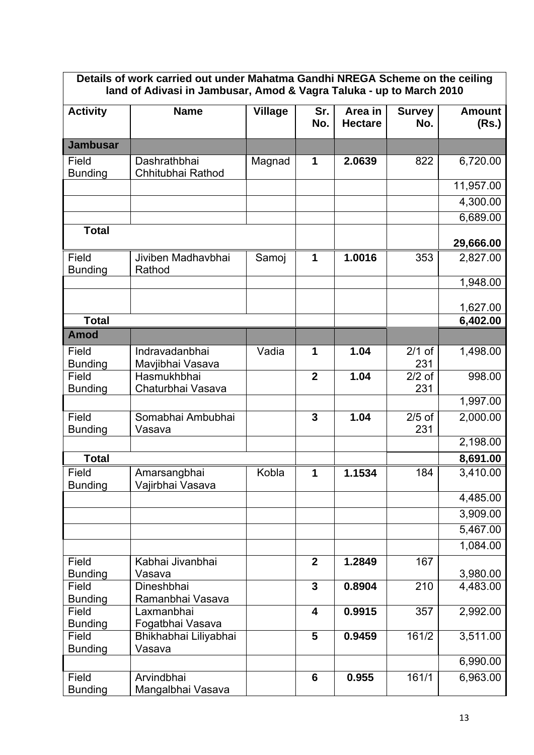| Details of work carried out under Mahatma Gandhi NREGA Scheme on the ceiling<br>land of Adivasi in Jambusar, Amod & Vagra Taluka - up to March 2010 |                                    |                |                         |                           |                      |                        |
|-----------------------------------------------------------------------------------------------------------------------------------------------------|------------------------------------|----------------|-------------------------|---------------------------|----------------------|------------------------|
| <b>Activity</b>                                                                                                                                     | <b>Name</b>                        | <b>Village</b> | Sr.<br>No.              | Area in<br><b>Hectare</b> | <b>Survey</b><br>No. | <b>Amount</b><br>(Rs.) |
| <b>Jambusar</b>                                                                                                                                     |                                    |                |                         |                           |                      |                        |
| Field<br><b>Bunding</b>                                                                                                                             | Dashrathbhai<br>Chhitubhai Rathod  | Magnad         | 1                       | 2.0639                    | 822                  | 6,720.00               |
|                                                                                                                                                     |                                    |                |                         |                           |                      | 11,957.00              |
|                                                                                                                                                     |                                    |                |                         |                           |                      | 4,300.00               |
|                                                                                                                                                     |                                    |                |                         |                           |                      | 6,689.00               |
| <b>Total</b>                                                                                                                                        |                                    |                |                         |                           |                      | 29,666.00              |
| Field<br><b>Bunding</b>                                                                                                                             | Jiviben Madhavbhai<br>Rathod       | Samoj          | 1                       | 1.0016                    | 353                  | 2,827.00               |
|                                                                                                                                                     |                                    |                |                         |                           |                      | 1,948.00               |
|                                                                                                                                                     |                                    |                |                         |                           |                      | 1,627.00               |
| <b>Total</b>                                                                                                                                        |                                    |                |                         |                           |                      | 6,402.00               |
| <b>Amod</b>                                                                                                                                         |                                    |                |                         |                           |                      |                        |
| Field<br><b>Bunding</b>                                                                                                                             | Indravadanbhai<br>Mavjibhai Vasava | Vadia          | 1                       | 1.04                      | $2/1$ of<br>231      | 1,498.00               |
| Field<br><b>Bunding</b>                                                                                                                             | Hasmukhbhai<br>Chaturbhai Vasava   |                | $\overline{2}$          | 1.04                      | $2/2$ of<br>231      | 998.00                 |
|                                                                                                                                                     |                                    |                |                         |                           |                      | 1,997.00               |
| Field<br><b>Bunding</b>                                                                                                                             | Somabhai Ambubhai<br>Vasava        |                | $\overline{3}$          | 1.04                      | $2/5$ of<br>231      | 2,000.00               |
|                                                                                                                                                     |                                    |                |                         |                           |                      | 2,198.00               |
| <b>Total</b>                                                                                                                                        |                                    |                |                         |                           |                      | 8,691.00               |
| Field<br><b>Bunding</b>                                                                                                                             | Amarsangbhai<br>Vajirbhai Vasava   | Kobla          | 1                       | 1.1534                    | 184                  | 3,410.00               |
|                                                                                                                                                     |                                    |                |                         |                           |                      | 4,485.00               |
|                                                                                                                                                     |                                    |                |                         |                           |                      | 3,909.00               |
|                                                                                                                                                     |                                    |                |                         |                           |                      | 5,467.00               |
|                                                                                                                                                     |                                    |                |                         |                           |                      | 1,084.00               |
| Field                                                                                                                                               | Kabhai Jivanbhai                   |                | $\mathbf{2}$            | 1.2849                    | 167                  |                        |
| <b>Bunding</b>                                                                                                                                      | Vasava                             |                | $\overline{3}$          |                           |                      | 3,980.00               |
| Field<br><b>Bunding</b>                                                                                                                             | Dineshbhai<br>Ramanbhai Vasava     |                |                         | 0.8904                    | 210                  | 4,483.00               |
| Field<br><b>Bunding</b>                                                                                                                             | Laxmanbhai<br>Fogatbhai Vasava     |                | $\overline{\mathbf{4}}$ | 0.9915                    | 357                  | 2,992.00               |
| Field                                                                                                                                               | Bhikhabhai Liliyabhai              |                | 5                       | 0.9459                    | 161/2                | 3,511.00               |
| <b>Bunding</b>                                                                                                                                      | Vasava                             |                |                         |                           |                      | 6,990.00               |
| Field<br><b>Bunding</b>                                                                                                                             | Arvindbhai<br>Mangalbhai Vasava    |                | 6                       | 0.955                     | 161/1                | 6,963.00               |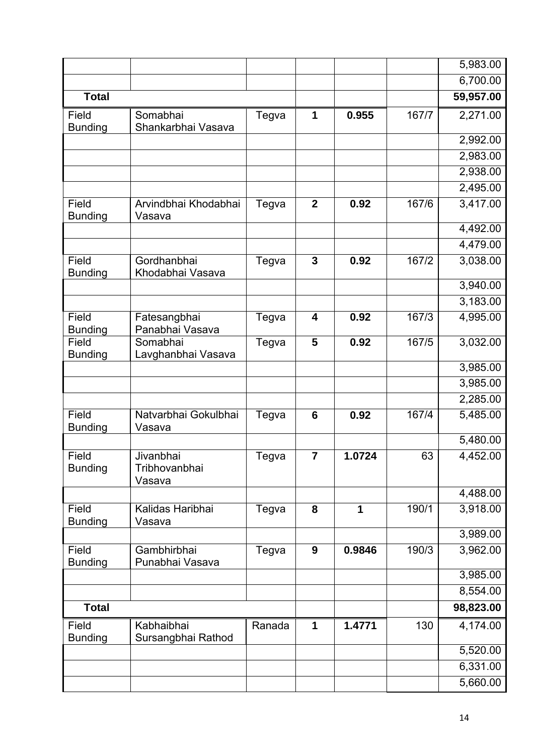|                         |                                      |        |              |        |       | 5,983.00  |
|-------------------------|--------------------------------------|--------|--------------|--------|-------|-----------|
|                         |                                      |        |              |        |       | 6,700.00  |
| <b>Total</b>            |                                      |        |              |        |       | 59,957.00 |
| Field<br><b>Bunding</b> | Somabhai<br>Shankarbhai Vasava       | Tegva  | 1            | 0.955  | 167/7 | 2,271.00  |
|                         |                                      |        |              |        |       | 2,992.00  |
|                         |                                      |        |              |        |       | 2,983.00  |
|                         |                                      |        |              |        |       | 2,938.00  |
|                         |                                      |        |              |        |       | 2,495.00  |
| Field<br><b>Bunding</b> | Arvindbhai Khodabhai<br>Vasava       | Tegva  | $\mathbf{2}$ | 0.92   | 167/6 | 3,417.00  |
|                         |                                      |        |              |        |       | 4,492.00  |
|                         |                                      |        |              |        |       | 4,479.00  |
| Field<br><b>Bunding</b> | Gordhanbhai<br>Khodabhai Vasava      | Tegva  | 3            | 0.92   | 167/2 | 3,038.00  |
|                         |                                      |        |              |        |       | 3,940.00  |
|                         |                                      |        |              |        |       | 3,183.00  |
| Field<br><b>Bunding</b> | Fatesangbhai<br>Panabhai Vasava      | Tegva  | 4            | 0.92   | 167/3 | 4,995.00  |
| Field                   | Somabhai                             | Tegva  | 5            | 0.92   | 167/5 | 3,032.00  |
| <b>Bunding</b>          | Lavghanbhai Vasava                   |        |              |        |       | 3,985.00  |
|                         |                                      |        |              |        |       | 3,985.00  |
|                         |                                      |        |              |        |       | 2,285.00  |
| Field<br><b>Bunding</b> | Natvarbhai Gokulbhai<br>Vasava       | Tegva  | 6            | 0.92   | 167/4 | 5,485.00  |
|                         |                                      |        |              |        |       | 5,480.00  |
| Field<br><b>Bunding</b> | Jivanbhai<br>Tribhovanbhai<br>Vasava | Tegva  | 7            | 1.0724 | 63    | 4,452.00  |
|                         |                                      |        |              |        |       | 4,488.00  |
| Field<br><b>Bunding</b> | Kalidas Haribhai<br>Vasava           | Tegva  | 8            | 1      | 190/1 | 3,918.00  |
|                         |                                      |        |              |        |       | 3,989.00  |
| Field<br><b>Bunding</b> | Gambhirbhai<br>Punabhai Vasava       | Tegva  | 9            | 0.9846 | 190/3 | 3,962.00  |
|                         |                                      |        |              |        |       | 3,985.00  |
|                         |                                      |        |              |        |       | 8,554.00  |
| <b>Total</b>            |                                      |        |              |        |       | 98,823.00 |
| Field<br><b>Bunding</b> | Kabhaibhai<br>Sursangbhai Rathod     | Ranada | 1            | 1.4771 | 130   | 4,174.00  |
|                         |                                      |        |              |        |       | 5,520.00  |
|                         |                                      |        |              |        |       | 6,331.00  |
|                         |                                      |        |              |        |       | 5,660.00  |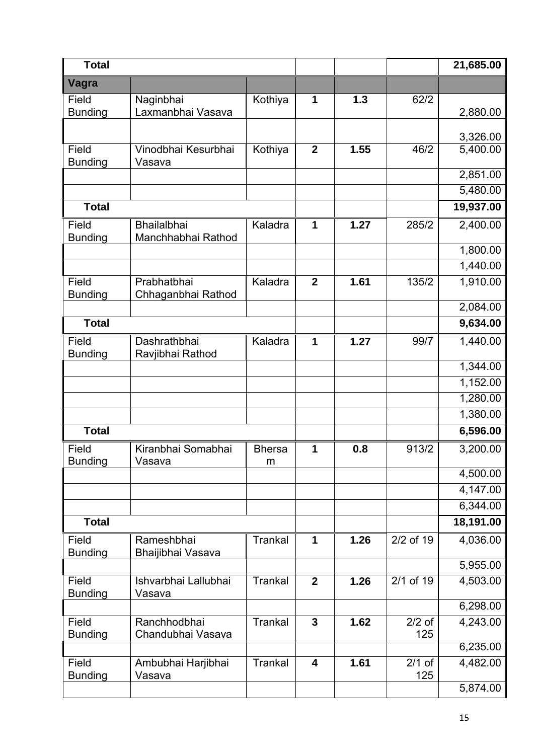| <b>Total</b>            |                                          |                    |                         |      |                 | 21,685.00            |
|-------------------------|------------------------------------------|--------------------|-------------------------|------|-----------------|----------------------|
| Vagra                   |                                          |                    |                         |      |                 |                      |
| Field<br><b>Bunding</b> | Naginbhai<br>Laxmanbhai Vasava           | Kothiya            | 1                       | 1.3  | 62/2            | 2,880.00             |
|                         |                                          |                    |                         |      |                 | 3,326.00             |
| Field<br><b>Bunding</b> | Vinodbhai Kesurbhai<br>Vasava            | Kothiya            | $\boldsymbol{2}$        | 1.55 | 46/2            | 5,400.00             |
|                         |                                          |                    |                         |      |                 | 2,851.00<br>5,480.00 |
| <b>Total</b>            |                                          |                    |                         |      |                 | 19,937.00            |
|                         |                                          |                    |                         |      |                 |                      |
| Field<br><b>Bunding</b> | <b>Bhailalbhai</b><br>Manchhabhai Rathod | Kaladra            | 1                       | 1.27 | 285/2           | 2,400.00             |
|                         |                                          |                    |                         |      |                 | 1,800.00             |
|                         |                                          |                    |                         |      |                 | 1,440.00             |
| Field<br><b>Bunding</b> | Prabhatbhai<br>Chhaganbhai Rathod        | Kaladra            | $\mathbf{2}$            | 1.61 | 135/2           | 1,910.00             |
|                         |                                          |                    |                         |      |                 | 2,084.00             |
| <b>Total</b>            |                                          |                    |                         |      |                 | 9,634.00             |
| Field<br><b>Bunding</b> | Dashrathbhai<br>Ravjibhai Rathod         | Kaladra            | 1                       | 1.27 | 99/7            | 1,440.00             |
|                         |                                          |                    |                         |      |                 | 1,344.00             |
|                         |                                          |                    |                         |      |                 | 1,152.00             |
|                         |                                          |                    |                         |      |                 | 1,280.00             |
|                         |                                          |                    |                         |      |                 | 1,380.00             |
| <b>Total</b>            |                                          |                    |                         |      |                 | 6,596.00             |
| Field<br><b>Bunding</b> | Kiranbhai Somabhai<br>Vasava             | <b>Bhersa</b><br>m | 1                       | 0.8  | 913/2           | 3,200.00             |
|                         |                                          |                    |                         |      |                 | 4,500.00             |
|                         |                                          |                    |                         |      |                 | 4,147.00             |
|                         |                                          |                    |                         |      |                 | 6,344.00             |
| <b>Total</b>            |                                          |                    |                         |      |                 | 18,191.00            |
| Field<br><b>Bunding</b> | Rameshbhai<br>Bhaijibhai Vasava          | <b>Trankal</b>     | $\mathbf 1$             | 1.26 | 2/2 of 19       | 4,036.00             |
|                         |                                          |                    |                         |      |                 | 5,955.00             |
| Field<br><b>Bunding</b> | Ishvarbhai Lallubhai<br>Vasava           | <b>Trankal</b>     | $\overline{2}$          | 1.26 | 2/1 of 19       | 4,503.00             |
|                         |                                          |                    |                         |      |                 | 6,298.00             |
| Field<br><b>Bunding</b> | Ranchhodbhai<br>Chandubhai Vasava        | <b>Trankal</b>     | $\mathbf{3}$            | 1.62 | $2/2$ of<br>125 | 4,243.00             |
|                         |                                          |                    |                         |      |                 | 6,235.00             |
| Field<br><b>Bunding</b> | Ambubhai Harjibhai<br>Vasava             | <b>Trankal</b>     | $\overline{\mathbf{4}}$ | 1.61 | $2/1$ of<br>125 | 4,482.00             |
|                         |                                          |                    |                         |      |                 | 5,874.00             |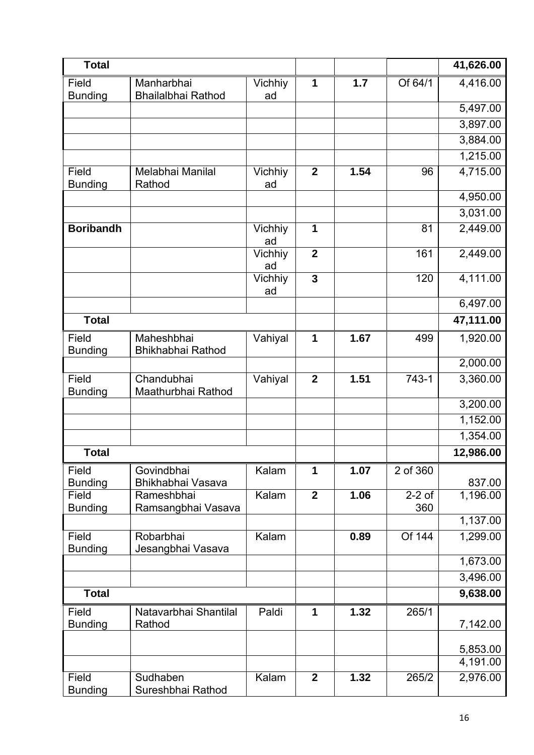| <b>Total</b>            |                                         |                      |                |      |                 | 41,626.00          |
|-------------------------|-----------------------------------------|----------------------|----------------|------|-----------------|--------------------|
| Field<br><b>Bunding</b> | Manharbhai<br><b>Bhailalbhai Rathod</b> | <b>Vichhiy</b><br>ad | 1              | 1.7  | Of 64/1         | 4,416.00           |
|                         |                                         |                      |                |      |                 | 5,497.00           |
|                         |                                         |                      |                |      |                 | 3,897.00           |
|                         |                                         |                      |                |      |                 | 3,884.00           |
|                         |                                         |                      |                |      |                 | 1,215.00           |
| Field<br><b>Bunding</b> | Melabhai Manilal<br>Rathod              | Vichhiy<br>ad        | $\overline{2}$ | 1.54 | 96              | 4,715.00           |
|                         |                                         |                      |                |      |                 | 4,950.00           |
|                         |                                         |                      |                |      |                 | 3,031.00           |
| <b>Boribandh</b>        |                                         | Vichhiy<br>ad        | 1              |      | 81              | 2,449.00           |
|                         |                                         | <b>Vichhiy</b><br>ad | $\mathbf{2}$   |      | 161             | 2,449.00           |
|                         |                                         | Vichhiy<br>ad        | $\overline{3}$ |      | 120             | 4,111.00           |
|                         |                                         |                      |                |      |                 | 6,497.00           |
| <b>Total</b>            |                                         |                      |                |      |                 | 47,111.00          |
| Field<br><b>Bunding</b> | Maheshbhai<br>Bhikhabhai Rathod         | Vahiyal              | 1              | 1.67 | 499             | 1,920.00           |
|                         |                                         |                      |                |      |                 | 2,000.00           |
| Field<br><b>Bunding</b> | Chandubhai<br>Maathurbhai Rathod        | Vahiyal              | $\mathbf{2}$   | 1.51 | 743-1           | 3,360.00           |
|                         |                                         |                      |                |      |                 | 3,200.00           |
|                         |                                         |                      |                |      |                 | 1,152.00           |
|                         |                                         |                      |                |      |                 | 1,354.00           |
| <b>Total</b>            |                                         |                      |                |      |                 | 12,986.00          |
| Field                   | Govindbhai                              | Kalam                | 1              | 1.07 | 2 of 360        |                    |
| <b>Bunding</b><br>Field | Bhikhabhai Vasava<br>Rameshbhai         | Kalam                | $\overline{2}$ | 1.06 | $2-2$ of<br>360 | 837.00<br>1,196.00 |
| <b>Bunding</b>          | Ramsangbhai Vasava                      |                      |                |      |                 | 1,137.00           |
| Field<br><b>Bunding</b> | Robarbhai<br>Jesangbhai Vasava          | Kalam                |                | 0.89 | Of 144          | 1,299.00           |
|                         |                                         |                      |                |      |                 | 1,673.00           |
|                         |                                         |                      |                |      |                 | 3,496.00           |
| <b>Total</b>            |                                         |                      |                |      |                 | 9,638.00           |
| Field                   | Natavarbhai Shantilal                   | Paldi                | 1              | 1.32 | 265/1           |                    |
| <b>Bunding</b>          | Rathod                                  |                      |                |      |                 | 7,142.00           |
|                         |                                         |                      |                |      |                 | 5,853.00           |
|                         |                                         |                      |                |      |                 | 4,191.00           |
| Field<br><b>Bunding</b> | Sudhaben<br>Sureshbhai Rathod           | Kalam                | $\overline{2}$ | 1.32 | 265/2           | 2,976.00           |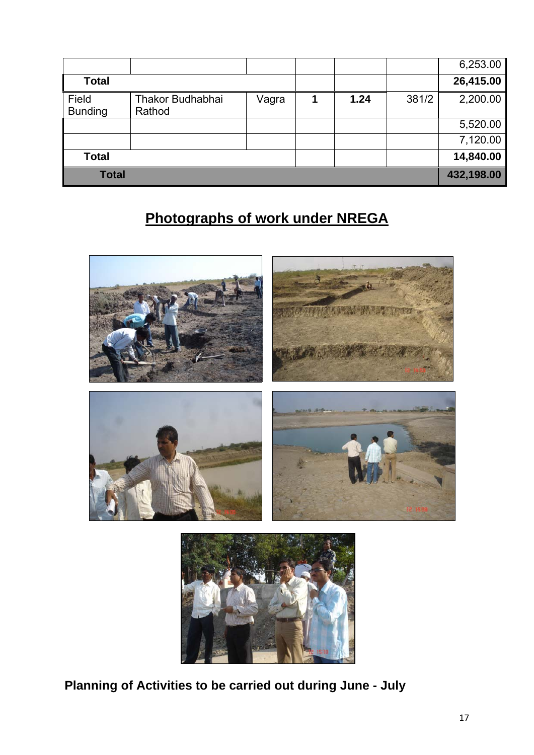|                         |                            |       |      |       | 6,253.00   |
|-------------------------|----------------------------|-------|------|-------|------------|
| <b>Total</b>            |                            |       |      |       | 26,415.00  |
| Field<br><b>Bunding</b> | Thakor Budhabhai<br>Rathod | Vagra | 1.24 | 381/2 | 2,200.00   |
|                         |                            |       |      |       | 5,520.00   |
|                         |                            |       |      |       | 7,120.00   |
| <b>Total</b>            |                            |       |      |       | 14,840.00  |
| <b>Total</b>            |                            |       |      |       | 432,198.00 |

# **Photographs of work under NREGA**



**Planning of Activities to be carried out during June - July**